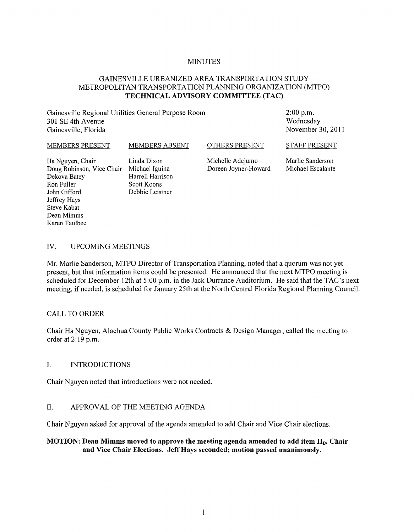#### MINUTES

# GAINESVILLE URBANIZED AREA TRANSPORTATION STUDY METROPOLITAN TRANSPORTATION PLANNING ORGANIZATION (MTPO) **TECHNICAL ADVISORY COMMITTEE (TAC)**

Gainesville Regional Utilities General Purpose Room 301 SE 4th Avenue Gainesville, Florida

2:00 p.m. Wednesday November 30,2011

#### MEMBERS PRESENT Ha Nguyen, Chair MEMBERS ABSENT Linda Dixon OTHERS PRESENT Michelle Adejumo STAFF PRESENT Marlie Sanderson

Doug Robinson, Vice Chair Michael Iguina Dekova Batey Ron Fuller John Gifford Jeffrey Hays Steve Kabat Dean Mimms Karen Taulbee

Harrell Harrison Scott Koons Debbie Leistner

Doreen Joyner-Howard

Michael Escalante

# IV. UPCOMING MEETINGS

Mr. Marlie Sanderson, MTPO Director of Transportation Planning, noted that a quorum was not yet present, but that information items could be presented. He announced that the next MTPO meeting is scheduled for December 12th at 5:00 p.m. in the Jack Durrance Auditorium. He said that the TAC's next meeting, if needed, is scheduled for January 25th at the North Central Florida Regional Planning Council.

## CALL TO ORDER

Chair Ha Nguyen, Alachua County Public Works Contracts & Design Manager, called the meeting to order at 2: 19 p.m.

## I. INTRODUCTIONS

Chair Nguyen noted that introductions were not needed.

## II. APPROVAL OF THE MEETING AGENDA

Chair Nguyen asked for approval of the agenda amended to add Chair and Vice Chair elections.

## **MOTION: Dean Mimms moved to approve the meeting agenda amended to add item II<sub>B</sub>. Chair and Vice Chair Elections.** Jeff Hays **seconded; motion passed unanimously.**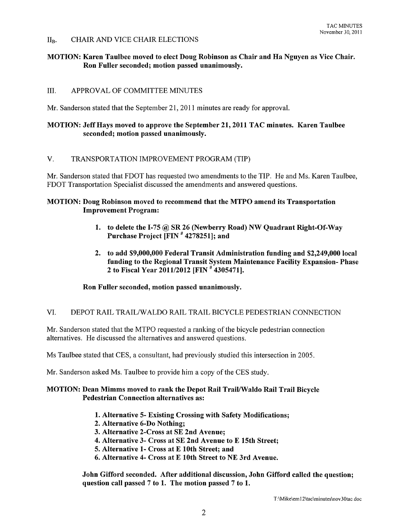## II<sub>B</sub>. CHAIR AND VICE CHAIR ELECTIONS

# MOTION: Karen Taulbee moved to elect Doug Robinson as Chair and Ha Nguyen as Vice Chair. Ron Fuller seconded; motion passed unanimously.

# III. APPROVAL OF COMMITTEE MINUTES

Mr. Sanderson stated that the September 21,2011 minutes are ready for approval.

# MOTION: Jeff Hays moved to approve the September 21, 2011 TAC minutes. Karen Taulbee seconded; motion passed unanimously.

## V. TRANSPORTATION IMPROVEMENT PROGRAM (TIP)

Mr. Sanderson stated that FDOT has requested two amendments to the TIP. He and Ms. Karen Taulbee, FDOT Transportation Specialist discussed the amendments and answered questions.

#### MOTION: Doug Robinson moved to recommend that the MTPO amend its Transportation Improvement Program:

- 1. to delete the 1-75 @ SR 26 (Newberry Road) NW Quadrant Right-Of-Way Purchase Project [FIN # 4278251]; and
- 2. to add \$9,000,000 Federal Transit Administration funding and \$2,249,000 local funding to the Regional Transit System Maintenance Facility Expansion- Phase 2 to Fiscal Year *2011/2012* [FIN # 4305471].

## Ron Fuller seconded, motion passed unanimously.

## VI. DEPOT RAIL TRAILlW ALDO RAIL TRAIL BICYCLE PEDESTRIAN CONNECTION

Mr. Sanderson stated that the MTPO requested a ranking of the bicycle pedestrian connection alternatives. He discussed the alternatives and answered questions.

Ms Taulbee stated that CES, a consultant, had previously studied this intersection in 2005.

Mr. Sanderson asked Ms. Taulbee to provide him a copy of the CES study.

#### MOTION: Dean Mimms moved to rank the Depot Rail Trail/Waldo Rail Trail Bicycle Pedestrian Connection alternatives as:

- 1. Alternative 5- Existing Crossing with Safety Modifications;
- 2. Alternative 6-Do Nothing;
- 3. Alternative 2-Cross at SE 2nd Avenue;
- 4. Alternative 3- Cross at SE 2nd Avenue to E 15th Street;
- 5. Alternative 1- Cross at E 10th Street; and
- 6. Alternative 4- Cross at E 10th Street to NE 3rd Avenue.

John Gifford seconded. After additional discussion, John Gifford called the question; question call passed 7 to 1. The motion passed 7 to 1.